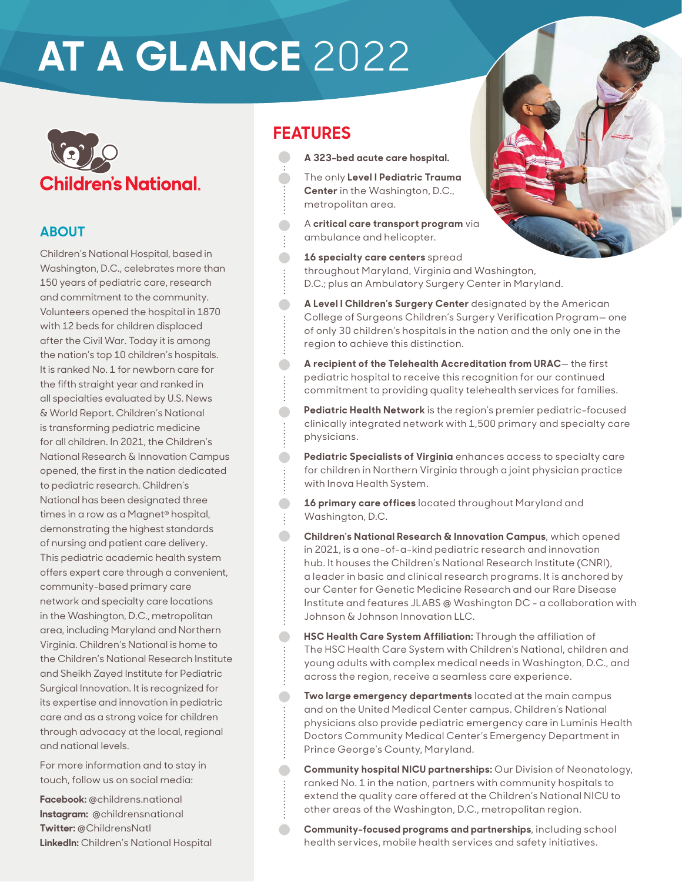## **AT A GLANCE** 2022

# **Children's National.**

## **ABOUT**

Children's National Hospital, based in Washington, D.C., celebrates more than 150 years of pediatric care, research and commitment to the community. Volunteers opened the hospital in 1870 with 12 beds for children displaced after the Civil War. Today it is among the nation's top 10 children's hospitals. It is ranked No. 1 for newborn care for the fifth straight year and ranked in all specialties evaluated by U.S. News & World Report. Children's National is transforming pediatric medicine for all children. In 2021, the Children's National Research & Innovation Campus opened, the first in the nation dedicated to pediatric research. Children's National has been designated three times in a row as a Magnet® hospital, demonstrating the highest standards of nursing and patient care delivery. This pediatric academic health system offers expert care through a convenient, community-based primary care network and specialty care locations in the Washington, D.C., metropolitan area, including Maryland and Northern Virginia. Children's National is home to the Children's National Research Institute and Sheikh Zayed Institute for Pediatric Surgical Innovation. It is recognized for its expertise and innovation in pediatric care and as a strong voice for children through advocacy at the local, regional and national levels.

For more information and to stay in touch, follow us on social media:

**Facebook:** @childrens.national **Instagram:** @childrensnational **Twitter:** @ChildrensNatl **LinkedIn:** Children's National Hospital

## **FEATURES**

 $\blacksquare$ 

 $\bullet$ 

 $\bullet$ 

 $\bullet$ 

 $\blacksquare$ 

 $\blacksquare$ 

 $\blacksquare$ 

 $\bullet$ 

 $\bullet$ 

 $\bullet$ 

 $\blacksquare$ 

 $\blacksquare$ 

**A 323-bed acute care hospital.**

 The only **Level I Pediatric Trauma Center** in the Washington, D.C., metropolitan area.

A **critical care transport program** via ambulance and helicopter.

**16 specialty care centers** spread throughout Maryland, Virginia and Washington, D.C.; plus an Ambulatory Surgery Center in Maryland.

- **A Level I Children's Surgery Center** designated by the American College of Surgeons Children's Surgery Verification Program— one of only 30 children's hospitals in the nation and the only one in the region to achieve this distinction.
- **A recipient of the Telehealth Accreditation from URAC** the first pediatric hospital to receive this recognition for our continued commitment to providing quality telehealth services for families.
- **Pediatric Health Network** is the region's premier pediatric-focused clinically integrated network with 1,500 primary and specialty care physicians.
- **Pediatric Specialists of Virginia** enhances access to specialty care for children in Northern Virginia through a joint physician practice with Inova Health System.
- **16 primary care offices** located throughout Maryland and Washington, D.C.
- **Children's National Research & Innovation Campus**, which opened in 2021, is a one-of-a-kind pediatric research and innovation hub. It houses the Children's National Research Institute (CNRI), a leader in basic and clinical research programs. It is anchored by our Center for Genetic Medicine Research and our Rare Disease Institute and features JLABS @ Washington DC - a collaboration with Johnson & Johnson Innovation LLC.
- **HSC Health Care System Affiliation:** Through the affiliation of The HSC Health Care System with Children's National, children and young adults with complex medical needs in Washington, D.C., and across the region, receive a seamless care experience.
- **Two large emergency departments** located at the main campus and on the United Medical Center campus. Children's National physicians also provide pediatric emergency care in Luminis Health Doctors Community Medical Center's Emergency Department in Prince George's County, Maryland.
- **Community hospital NICU partnerships:** Our Division of Neonatology, ranked No. 1 in the nation, partners with community hospitals to extend the quality care offered at the Children's National NICU to other areas of the Washington, D.C., metropolitan region.
- **Community-focused programs and partnerships**, including school health services, mobile health services and safety initiatives.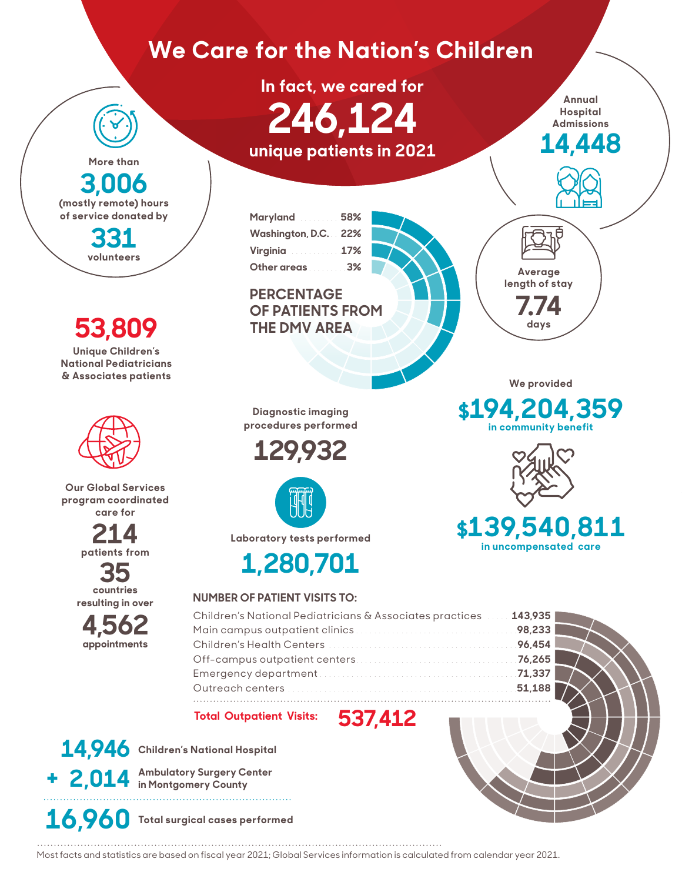## **We Care for the Nation's Children**

**In fact, we cared for 246,124 unique patients in 2021**

**Annual Hospital Admissions**

**14,448** 

**Maryland** . . . . . . . . . **58% Washington, D.C.** . . **22% Virginia** . . . . . . . . . . . **17% Other areas** . . . . . . . . **3%**

## **PERCENTAGE OF PATIENTS FROM THE DMV AREA**



**7.74 days**

**Average length of stay**

**We provided** 

**\$194,204,359 in community benefit**



## **\$139,540,811 in uncompensated care**

**Diagnostic imaging procedures performed**





**Laboratory tests performed**



## **NUMBER OF PATIENT VISITS TO:**

| Children's National Pediatricians & Associates practices  143,935 |  |
|-------------------------------------------------------------------|--|
|                                                                   |  |
|                                                                   |  |
|                                                                   |  |
|                                                                   |  |
|                                                                   |  |
|                                                                   |  |

**Total Outpatient Visits: 537,412**

**14,946 Children's National Hospital 2,014 Ambulatory Surgery Center in Montgomery County +**

**More than**

**3,006 (mostly remote) hours of service donated by**

> **331 volunteers**

**53,809**

**Unique Children's National Pediatricians & Associates patients**

**Our Global Services program coordinated care for**

> **214 patients from**

> > **35 countries**

**resulting in over** 

**4,562 appointments**

**16,960 Total surgical cases performed**

Most facts and statistics are based on fiscal year 2021; Global Services information is calculated from calendar year 2021.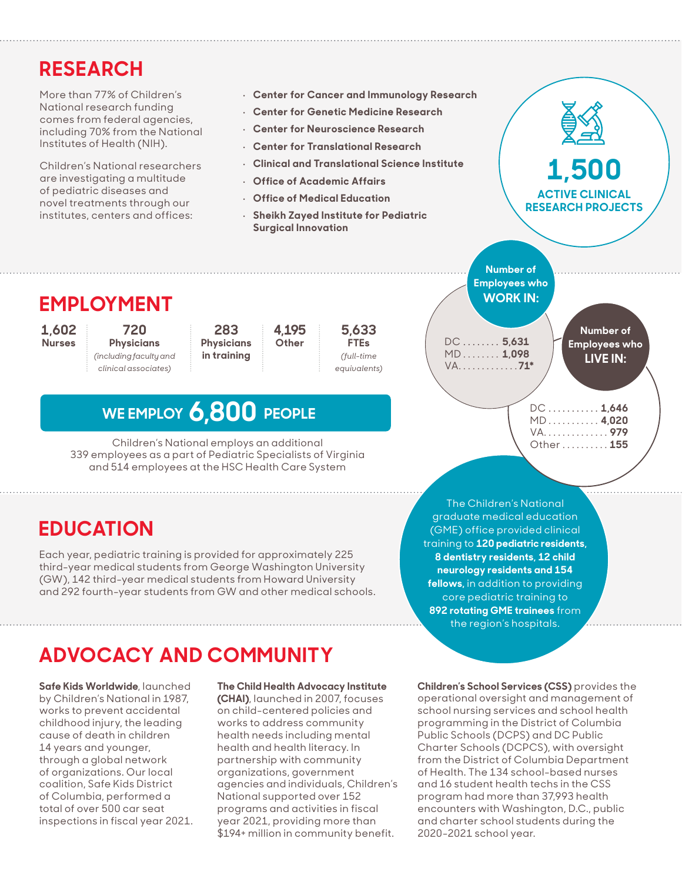## **RESEARCH**

More than 77% of Children's National research funding comes from federal agencies, including 70% from the National Institutes of Health (NIH).

Children's National researchers are investigating a multitude of pediatric diseases and novel treatments through our institutes, centers and offices:

- **Center for Cancer and Immunology Research**
- **Center for Genetic Medicine Research**
- **Center for Neuroscience Research**
- **Center for Translational Research**
- **Clinical and Translational Science Institute**
- **Office of Academic Affairs**
- **Office of Medical Education** • **Sheikh Zayed Institute for Pediatric**
- **Surgical Innovation**

**EMPLOYMENT**

**1,602 Nurses**

**720 Physicians** *(including faculty and clinical associates)*

**283 Physicians in training** 

**WE EMPLOY 6,800 PEOPLE**

Children's National employs an additional 339 employees as a part of Pediatric Specialists of Virginia and 514 employees at the HSC Health Care System

**4,195 Other**



**Employees who WORK IN:**

**Number of** 

**Number of Employees who LIVE IN:** DC. . . **5,631** MD. . . **1,098** VA. . **71\***

**ACTIVE CLINICAL RESEARCH PROJECTS**

**1,500**

DC. . . **1,646** MD. . . **4,020** VA. . . **979** Other. . . **155**

## **EDUCATION**

Each year, pediatric training is provided for approximately 225 third-year medical students from George Washington University (GW), 142 third-year medical students from Howard University and 292 fourth-year students from GW and other medical schools.

The Children's National graduate medical education (GME) office provided clinical training to **120 pediatric residents, 8 dentistry residents, 12 child neurology residents and 154 fellows,** in addition to providing core pediatric training to **892 rotating GME trainees** from the region's hospitals.

## **ADVOCACY AND COMMUNITY**

**Safe Kids Worldwide**, launched by Children's National in 1987, works to prevent accidental childhood injury, the leading cause of death in children 14 years and younger, through a global network of organizations. Our local coalition, Safe Kids District of Columbia, performed a total of over 500 car seat inspections in fiscal year 2021.

#### **The Child Health Advocacy Institute**

**(CHAI)**, launched in 2007, focuses on child-centered policies and works to address community health needs including mental health and health literacy. In partnership with community organizations, government agencies and individuals, Children's National supported over 152 programs and activities in fiscal year 2021, providing more than \$194+ million in community benefit.

**Children's School Services (CSS)** provides the operational oversight and management of school nursing services and school health programming in the District of Columbia Public Schools (DCPS) and DC Public Charter Schools (DCPCS), with oversight from the District of Columbia Department of Health. The 134 school-based nurses and 16 student health techs in the CSS program had more than 37,993 health encounters with Washington, D.C., public and charter school students during the 2020-2021 school year.